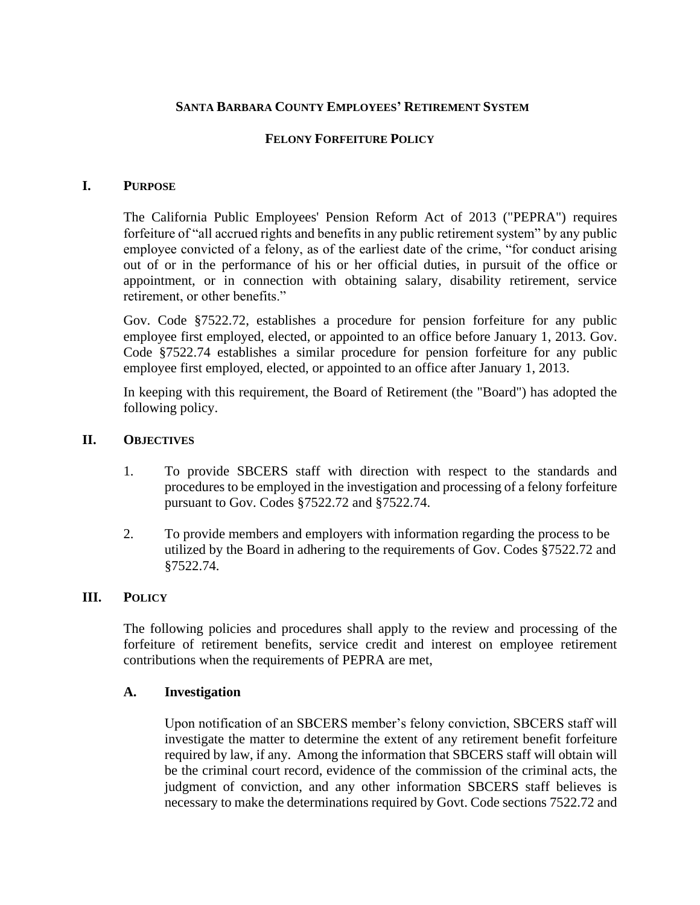### **SANTA BARBARA COUNTY EMPLOYEES' RETIREMENT SYSTEM**

### **FELONY FORFEITURE POLICY**

#### **I. PURPOSE**

The California Public Employees' Pension Reform Act of 2013 ("PEPRA") requires forfeiture of "all accrued rights and benefits in any public retirement system" by any public employee convicted of a felony, as of the earliest date of the crime, "for conduct arising out of or in the performance of his or her official duties, in pursuit of the office or appointment, or in connection with obtaining salary, disability retirement, service retirement, or other benefits."

Gov. Code §7522.72, establishes a procedure for pension forfeiture for any public employee first employed, elected, or appointed to an office before January 1, 2013. Gov. Code §7522.74 establishes a similar procedure for pension forfeiture for any public employee first employed, elected, or appointed to an office after January 1, 2013.

In keeping with this requirement, the Board of Retirement (the "Board") has adopted the following policy.

#### **II. OBJECTIVES**

- 1. To provide SBCERS staff with direction with respect to the standards and procedures to be employed in the investigation and processing of a felony forfeiture pursuant to Gov. Codes §7522.72 and §7522.74.
- 2. To provide members and employers with information regarding the process to be utilized by the Board in adhering to the requirements of Gov. Codes §7522.72 and §7522.74.

### **III. POLICY**

The following policies and procedures shall apply to the review and processing of the forfeiture of retirement benefits, service credit and interest on employee retirement contributions when the requirements of PEPRA are met,

#### **A. Investigation**

Upon notification of an SBCERS member's felony conviction, SBCERS staff will investigate the matter to determine the extent of any retirement benefit forfeiture required by law, if any. Among the information that SBCERS staff will obtain will be the criminal court record, evidence of the commission of the criminal acts, the judgment of conviction, and any other information SBCERS staff believes is necessary to make the determinations required by Govt. Code sections 7522.72 and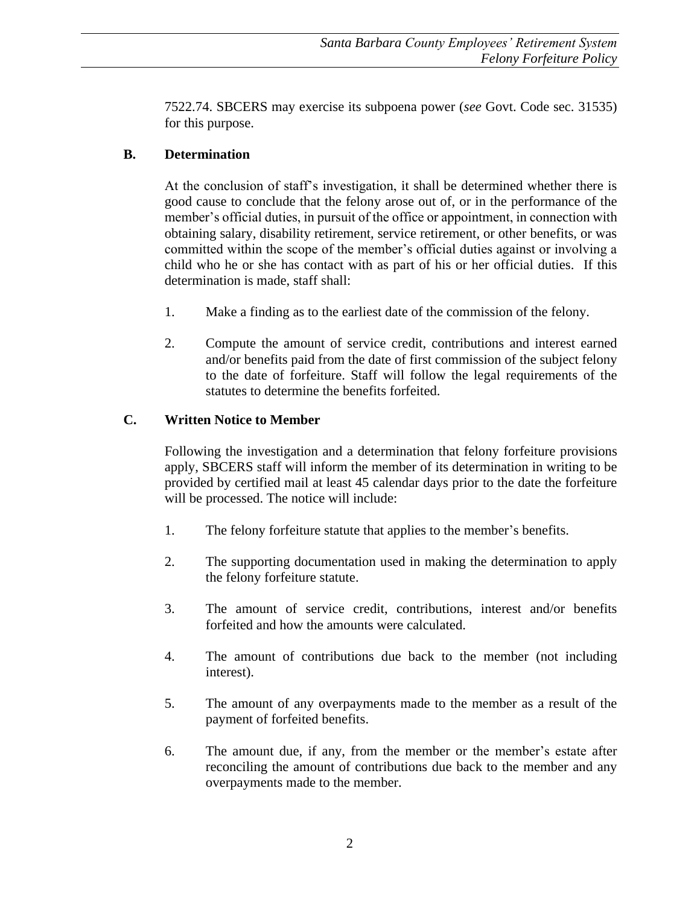7522.74. SBCERS may exercise its subpoena power (*see* Govt. Code sec. 31535) for this purpose.

# **B. Determination**

At the conclusion of staff's investigation, it shall be determined whether there is good cause to conclude that the felony arose out of, or in the performance of the member's official duties, in pursuit of the office or appointment, in connection with obtaining salary, disability retirement, service retirement, or other benefits, or was committed within the scope of the member's official duties against or involving a child who he or she has contact with as part of his or her official duties. If this determination is made, staff shall:

- 1. Make a finding as to the earliest date of the commission of the felony.
- 2. Compute the amount of service credit, contributions and interest earned and/or benefits paid from the date of first commission of the subject felony to the date of forfeiture. Staff will follow the legal requirements of the statutes to determine the benefits forfeited.

# **C. Written Notice to Member**

Following the investigation and a determination that felony forfeiture provisions apply, SBCERS staff will inform the member of its determination in writing to be provided by certified mail at least 45 calendar days prior to the date the forfeiture will be processed. The notice will include:

- 1. The felony forfeiture statute that applies to the member's benefits.
- 2. The supporting documentation used in making the determination to apply the felony forfeiture statute.
- 3. The amount of service credit, contributions, interest and/or benefits forfeited and how the amounts were calculated.
- 4. The amount of contributions due back to the member (not including interest).
- 5. The amount of any overpayments made to the member as a result of the payment of forfeited benefits.
- 6. The amount due, if any, from the member or the member's estate after reconciling the amount of contributions due back to the member and any overpayments made to the member.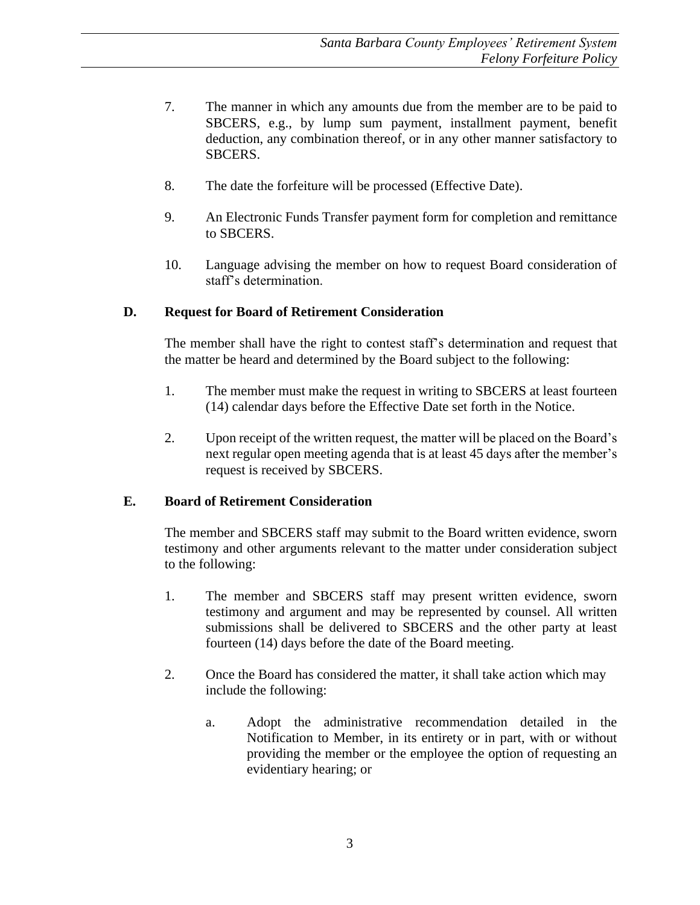- 7. The manner in which any amounts due from the member are to be paid to SBCERS, e.g., by lump sum payment, installment payment, benefit deduction, any combination thereof, or in any other manner satisfactory to SBCERS.
- 8. The date the forfeiture will be processed (Effective Date).
- 9. An Electronic Funds Transfer payment form for completion and remittance to SBCERS.
- 10. Language advising the member on how to request Board consideration of staff's determination.

# **D. Request for Board of Retirement Consideration**

The member shall have the right to contest staff's determination and request that the matter be heard and determined by the Board subject to the following:

- 1. The member must make the request in writing to SBCERS at least fourteen (14) calendar days before the Effective Date set forth in the Notice.
- 2. Upon receipt of the written request, the matter will be placed on the Board's next regular open meeting agenda that is at least 45 days after the member's request is received by SBCERS.

## **E. Board of Retirement Consideration**

The member and SBCERS staff may submit to the Board written evidence, sworn testimony and other arguments relevant to the matter under consideration subject to the following:

- 1. The member and SBCERS staff may present written evidence, sworn testimony and argument and may be represented by counsel. All written submissions shall be delivered to SBCERS and the other party at least fourteen (14) days before the date of the Board meeting.
- 2. Once the Board has considered the matter, it shall take action which may include the following:
	- a. Adopt the administrative recommendation detailed in the Notification to Member, in its entirety or in part, with or without providing the member or the employee the option of requesting an evidentiary hearing; or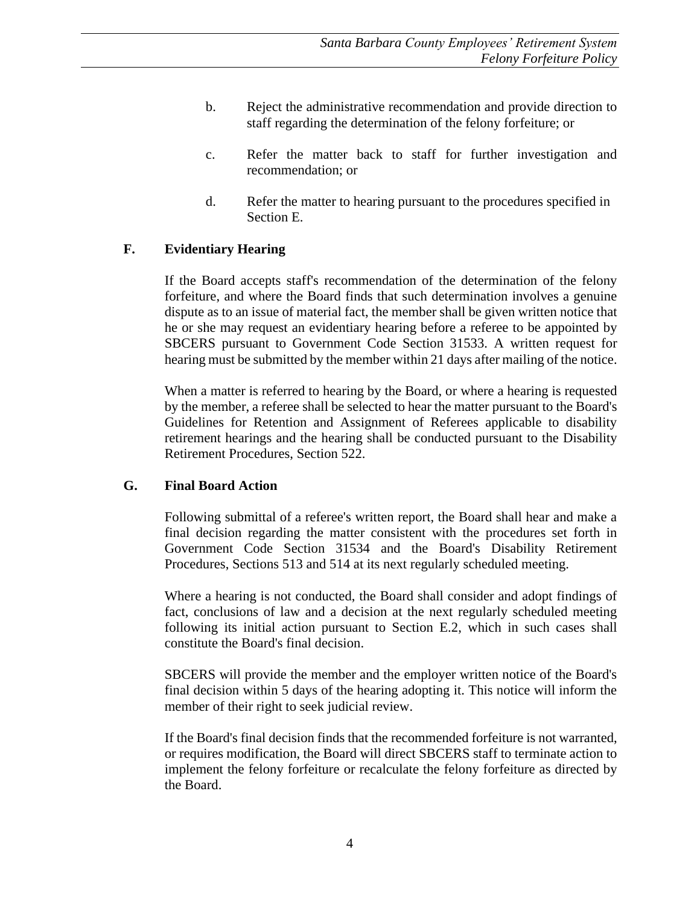- b. Reject the administrative recommendation and provide direction to staff regarding the determination of the felony forfeiture; or
- c. Refer the matter back to staff for further investigation and recommendation; or
- d. Refer the matter to hearing pursuant to the procedures specified in Section E.

### **F. Evidentiary Hearing**

If the Board accepts staff's recommendation of the determination of the felony forfeiture, and where the Board finds that such determination involves a genuine dispute as to an issue of material fact, the member shall be given written notice that he or she may request an evidentiary hearing before a referee to be appointed by SBCERS pursuant to Government Code Section 31533. A written request for hearing must be submitted by the member within 21 days after mailing of the notice.

When a matter is referred to hearing by the Board, or where a hearing is requested by the member, a referee shall be selected to hear the matter pursuant to the Board's Guidelines for Retention and Assignment of Referees applicable to disability retirement hearings and the hearing shall be conducted pursuant to the Disability Retirement Procedures, Section 522.

#### **G. Final Board Action**

Following submittal of a referee's written report, the Board shall hear and make a final decision regarding the matter consistent with the procedures set forth in Government Code Section 31534 and the Board's Disability Retirement Procedures, Sections 513 and 514 at its next regularly scheduled meeting.

Where a hearing is not conducted, the Board shall consider and adopt findings of fact, conclusions of law and a decision at the next regularly scheduled meeting following its initial action pursuant to Section E.2, which in such cases shall constitute the Board's final decision.

SBCERS will provide the member and the employer written notice of the Board's final decision within 5 days of the hearing adopting it. This notice will inform the member of their right to seek judicial review.

If the Board's final decision finds that the recommended forfeiture is not warranted, or requires modification, the Board will direct SBCERS staff to terminate action to implement the felony forfeiture or recalculate the felony forfeiture as directed by the Board.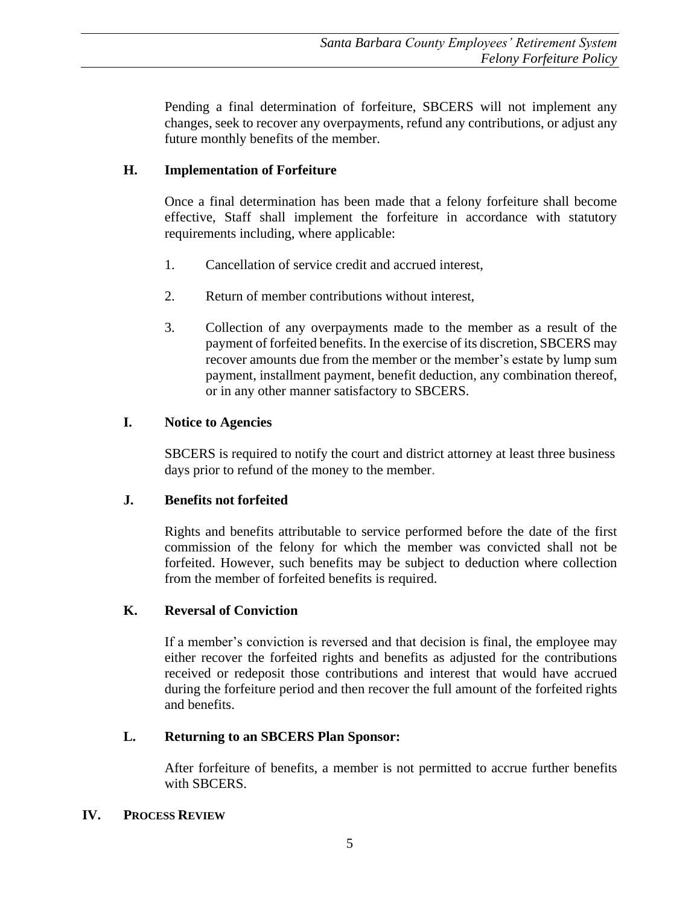Pending a final determination of forfeiture, SBCERS will not implement any changes, seek to recover any overpayments, refund any contributions, or adjust any future monthly benefits of the member.

# **H. Implementation of Forfeiture**

Once a final determination has been made that a felony forfeiture shall become effective, Staff shall implement the forfeiture in accordance with statutory requirements including, where applicable:

- 1. Cancellation of service credit and accrued interest,
- 2. Return of member contributions without interest,
- 3. Collection of any overpayments made to the member as a result of the payment of forfeited benefits. In the exercise of its discretion, SBCERS may recover amounts due from the member or the member's estate by lump sum payment, installment payment, benefit deduction, any combination thereof, or in any other manner satisfactory to SBCERS.

# **I. Notice to Agencies**

SBCERS is required to notify the court and district attorney at least three business days prior to refund of the money to the member.

## **J. Benefits not forfeited**

Rights and benefits attributable to service performed before the date of the first commission of the felony for which the member was convicted shall not be forfeited. However, such benefits may be subject to deduction where collection from the member of forfeited benefits is required.

## **K. Reversal of Conviction**

If a member's conviction is reversed and that decision is final, the employee may either recover the forfeited rights and benefits as adjusted for the contributions received or redeposit those contributions and interest that would have accrued during the forfeiture period and then recover the full amount of the forfeited rights and benefits.

## **L. Returning to an SBCERS Plan Sponsor:**

After forfeiture of benefits, a member is not permitted to accrue further benefits with SBCERS.

## **IV. PROCESS REVIEW**